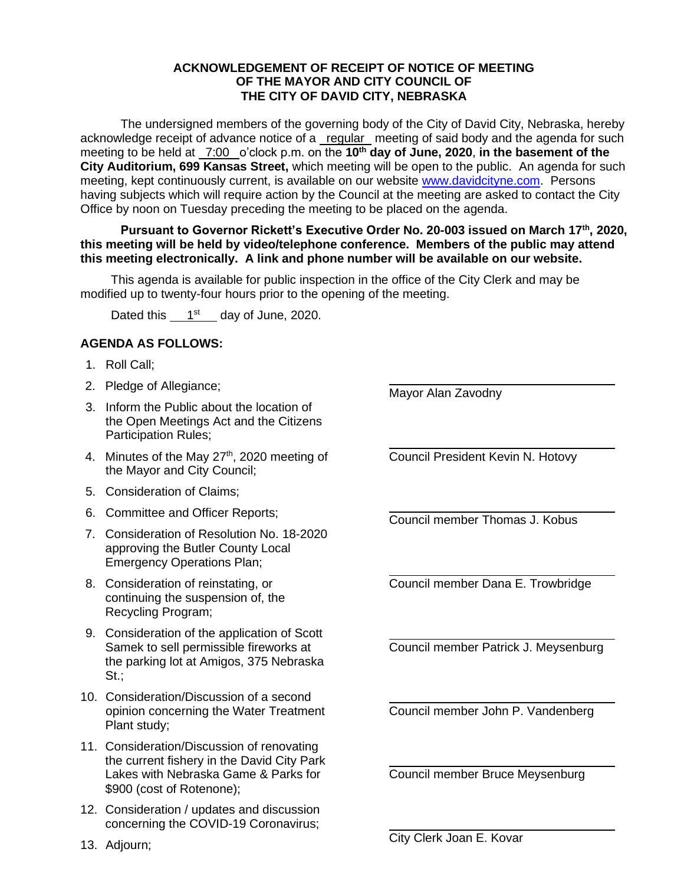## **ACKNOWLEDGEMENT OF RECEIPT OF NOTICE OF MEETING OF THE MAYOR AND CITY COUNCIL OF THE CITY OF DAVID CITY, NEBRASKA**

The undersigned members of the governing body of the City of David City, Nebraska, hereby acknowledge receipt of advance notice of a regular meeting of said body and the agenda for such meeting to be held at  $\frac{7:00}{ }$  o'clock p.m. on the 10<sup>th</sup> day of June, 2020, in the basement of the **City Auditorium, 699 Kansas Street,** which meeting will be open to the public. An agenda for such meeting, kept continuously current, is available on our website [www.davidcityne.com.](https://urldefense.proofpoint.com/v2/url?u=http-3A__www.davidcityne.com&d=DwMFAg&c=UCja3IwhyjPGYeHcG7oIbg&r=sTF4AptKcZUvAdPZH__AgXD7wYT5PTsm1dL8p3vwYO4&m=H_1JksRqSJf69XA0HV8uDjtaNsM1PhWMo-DkTNHrSaE&s=wLyFni_YrhiWLHduEQzSflZL77e5AtnnCpVJ-weajcE&e=) Persons having subjects which will require action by the Council at the meeting are asked to contact the City Office by noon on Tuesday preceding the meeting to be placed on the agenda.

**Pursuant to Governor Rickett's Executive Order No. 20-003 issued on March 17th, 2020, this meeting will be held by video/telephone conference. Members of the public may attend this meeting electronically. A link and phone number will be available on our website.**

This agenda is available for public inspection in the office of the City Clerk and may be modified up to twenty-four hours prior to the opening of the meeting.

Dated this  $1<sup>st</sup>$  day of June, 2020.

## **AGENDA AS FOLLOWS:**

- 1. Roll Call;
- 2. Pledge of Allegiance;
- 3. Inform the Public about the location of the Open Meetings Act and the Citizens Participation Rules;
- 4. Minutes of the May 27<sup>th</sup>, 2020 meeting of the Mayor and City Council;
- 5. Consideration of Claims;
- 6. Committee and Officer Reports;
- 7. Consideration of Resolution No. 18-2020 approving the Butler County Local Emergency Operations Plan;
- 8. Consideration of reinstating, or continuing the suspension of, the Recycling Program;
- 9. Consideration of the application of Scott Samek to sell permissible fireworks at the parking lot at Amigos, 375 Nebraska St.;
- 10. Consideration/Discussion of a second opinion concerning the Water Treatment Plant study;
- 11. Consideration/Discussion of renovating the current fishery in the David City Park Lakes with Nebraska Game & Parks for \$900 (cost of Rotenone):
- 12. Consideration / updates and discussion concerning the COVID-19 Coronavirus;

Mayor Alan Zavodny

Council President Kevin N. Hotovy

Council member Thomas J. Kobus

Council member Dana E. Trowbridge

Council member Patrick J. Meysenburg

Council member John P. Vandenberg

Council member Bruce Meysenburg

13. Adjourn;